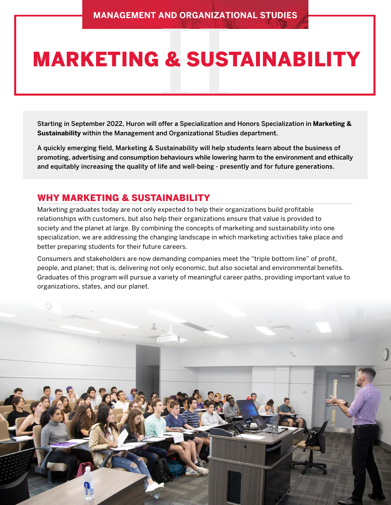# MARKETING & SUSTAINABILITY

Starting in September 2022, Huron will offer a Specialization and Honors Specialization in **Marketing & Sustainability** within the Management and Organizational Studies department.

A quickly emerging field, Marketing & Sustainability will help students learn about the business of promoting, advertising and consumption behaviours while lowering harm to the environment and ethically and equitably increasing the quality of life and well-being - presently and for future generations.

#### WHY MARKETING & SUSTAINABILITY

Marketing graduates today are not only expected to help their organizations build profitable relationships with customers, but also help their organizations ensure that value is provided to society and the planet at large. By combining the concepts of marketing and sustainability into one specialization, we are addressing the changing landscape in which marketing activities take place and better preparing students for their future careers.

Consumers and stakeholders are now demanding companies meet the "triple bottom line" of profit, people, and planet; that is, delivering not only economic, but also societal and environmental benefits. Graduates of this program will pursue a variety of meaningful career paths, providing important value to organizations, states, and our planet.